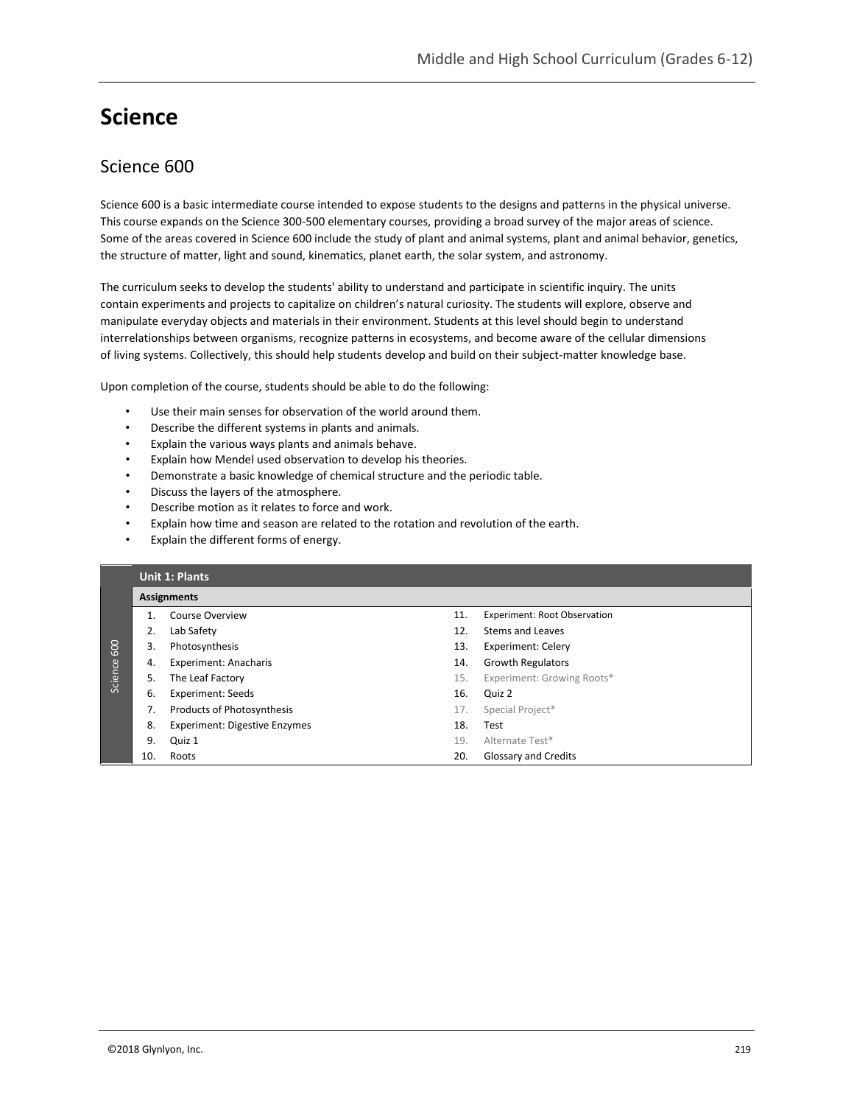## **Science**

## Science 600

Science 600 is a basic intermediate course intended to expose students to the designs and patterns in the physical universe. This course expands on the Science 300-500 elementary courses, providing a broad survey of the major areas of science. Some of the areas covered in Science 600 include the study of plant and animal systems, plant and animal behavior, genetics, the structure of matter, light and sound, kinematics, planet earth, the solar system, and astronomy.

The curriculum seeks to develop the students' ability to understand and participate in scientific inquiry. The units contain experiments and projects to capitalize on children's natural curiosity. The students will explore, observe and manipulate everyday objects and materials in their environment. Students at this level should begin to understand interrelationships between organisms, recognize patterns in ecosystems, and become aware of the cellular dimensions of living systems. Collectively, this should help students develop and build on their subject-matter knowledge base.

Upon completion of the course, students should be able to do the following:

- Use their main senses for observation of the world around them.
- Describe the different systems in plants and animals.
- Explain the various ways plants and animals behave.
- Explain how Mendel used observation to develop his theories.
- Demonstrate a basic knowledge of chemical structure and the periodic table.
- Discuss the layers of the atmosphere.
- Describe motion as it relates to force and work.
- Explain how time and season are related to the rotation and revolution of the earth.
- Explain the different forms of energy.

|         |     | <b>Unit 1: Plants</b>                |     |                                     |  |  |  |
|---------|-----|--------------------------------------|-----|-------------------------------------|--|--|--|
|         |     | <b>Assignments</b>                   |     |                                     |  |  |  |
|         |     | Course Overview                      | 11. | <b>Experiment: Root Observation</b> |  |  |  |
|         | 2.  | Lab Safety                           | 12. | Stems and Leaves                    |  |  |  |
| 600     | 3.  | Photosynthesis                       | 13. | Experiment: Celery                  |  |  |  |
|         | 4.  | <b>Experiment: Anacharis</b>         | 14. | <b>Growth Regulators</b>            |  |  |  |
| Science | 5.  | The Leaf Factory                     | 15. | Experiment: Growing Roots*          |  |  |  |
|         | 6.  | <b>Experiment: Seeds</b>             | 16. | Quiz 2                              |  |  |  |
|         | 7.  | <b>Products of Photosynthesis</b>    | 17. | Special Project*                    |  |  |  |
|         | 8.  | <b>Experiment: Digestive Enzymes</b> | 18. | Test                                |  |  |  |
|         | 9.  | Quiz 1                               | 19. | Alternate Test*                     |  |  |  |
|         | 10. | Roots                                | 20. | <b>Glossary and Credits</b>         |  |  |  |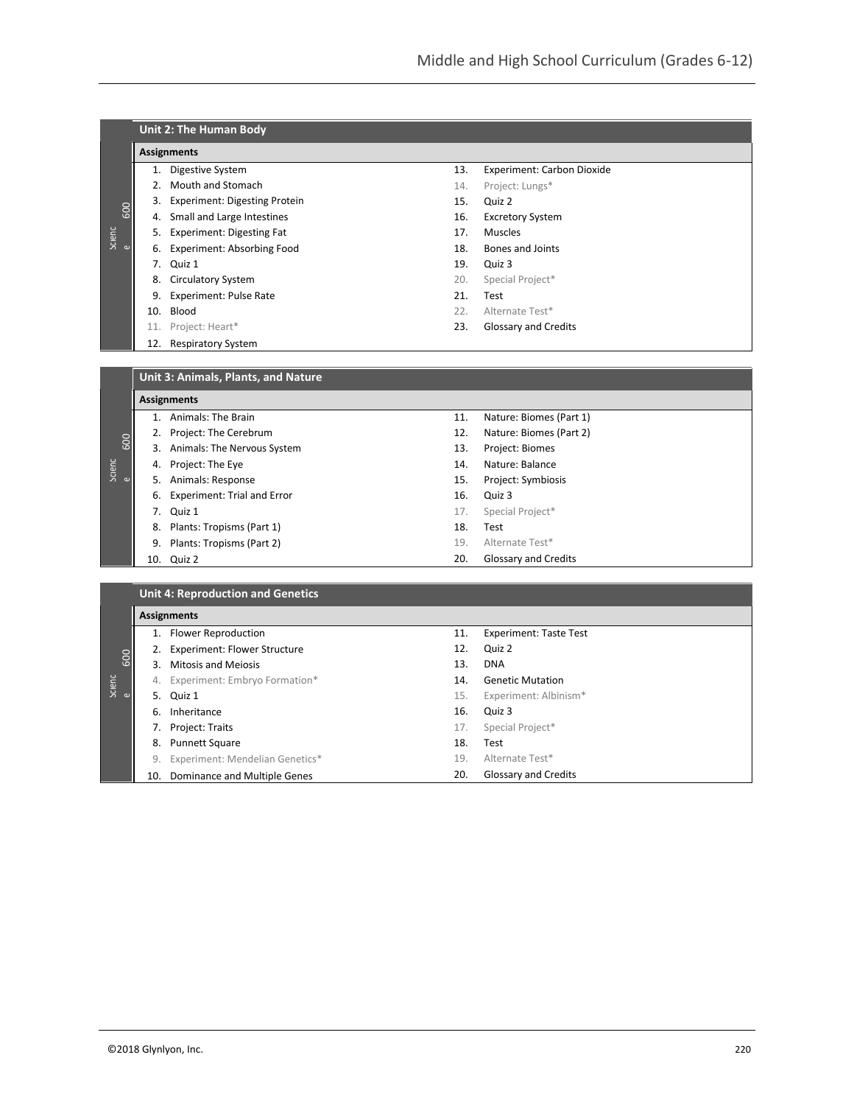|          |                                     | Unit 2: The Human Body                   |     |                                   |  |  |  |
|----------|-------------------------------------|------------------------------------------|-----|-----------------------------------|--|--|--|
|          |                                     | <b>Assignments</b>                       |     |                                   |  |  |  |
|          | 1.                                  | Digestive System                         | 13. | <b>Experiment: Carbon Dioxide</b> |  |  |  |
|          |                                     | 2. Mouth and Stomach                     | 14. | Project: Lungs*                   |  |  |  |
|          | 3.                                  | <b>Experiment: Digesting Protein</b>     | 15. | Quiz 2                            |  |  |  |
| 600      | 4.                                  | Small and Large Intestines               | 16. | <b>Excretory System</b>           |  |  |  |
| Scienc   |                                     | 5. Experiment: Digesting Fat             | 17. | <b>Muscles</b>                    |  |  |  |
| $\omega$ | 6.                                  | <b>Experiment: Absorbing Food</b>        | 18. | <b>Bones and Joints</b>           |  |  |  |
|          | 7.                                  | Quiz 1                                   | 19. | Quiz 3                            |  |  |  |
|          | 8.                                  | <b>Circulatory System</b>                | 20. | Special Project*                  |  |  |  |
|          | 9.                                  | <b>Experiment: Pulse Rate</b>            | 21. | Test                              |  |  |  |
|          | 10.                                 | Blood                                    | 22. | Alternate Test*                   |  |  |  |
|          | 11.                                 | Project: Heart*                          | 23. | <b>Glossary and Credits</b>       |  |  |  |
|          | 12.                                 | <b>Respiratory System</b>                |     |                                   |  |  |  |
|          |                                     |                                          |     |                                   |  |  |  |
|          | Unit 3: Animals, Plants, and Nature |                                          |     |                                   |  |  |  |
|          | <b>Assignments</b>                  |                                          |     |                                   |  |  |  |
|          |                                     | 1. Animals: The Brain                    | 11. | Nature: Biomes (Part 1)           |  |  |  |
|          | 2.                                  | Project: The Cerebrum                    | 12. | Nature: Biomes (Part 2)           |  |  |  |
| 600      |                                     | 3. Animals: The Nervous System           | 13. | Project: Biomes                   |  |  |  |
| Scienc   | 4.                                  | Project: The Eye                         | 14. | Nature: Balance                   |  |  |  |
| ഄ        | 5.                                  | Animals: Response                        | 15. | Project: Symbiosis                |  |  |  |
|          | 6.                                  | <b>Experiment: Trial and Error</b>       | 16. | Quiz 3                            |  |  |  |
|          | 7.                                  | Quiz 1                                   | 17. | Special Project*                  |  |  |  |
|          | 8.                                  | Plants: Tropisms (Part 1)                | 18. | Test                              |  |  |  |
|          | 9.                                  | Plants: Tropisms (Part 2)                | 19. | Alternate Test*                   |  |  |  |
|          |                                     | 10. Quiz 2                               | 20. | <b>Glossary and Credits</b>       |  |  |  |
|          |                                     |                                          |     |                                   |  |  |  |
|          |                                     | <b>Unit 4: Reproduction and Genetics</b> |     |                                   |  |  |  |
|          | <b>Assignments</b>                  |                                          |     |                                   |  |  |  |

|                  |     | <b>Assignments</b>                  |     |                               |
|------------------|-----|-------------------------------------|-----|-------------------------------|
|                  | 1.  | Flower Reproduction                 | 11. | <b>Experiment: Taste Test</b> |
|                  | 2.  | <b>Experiment: Flower Structure</b> | 12. | Quiz 2                        |
| 600              | 3.  | <b>Mitosis and Meiosis</b>          | 13. | <b>DNA</b>                    |
| Scienc           |     | 4. Experiment: Embryo Formation*    | 14. | <b>Genetic Mutation</b>       |
| $\mathbf \omega$ |     | 5. Quiz 1                           | 15. | Experiment: Albinism*         |
|                  | 6.  | Inheritance                         | 16. | Quiz 3                        |
|                  |     | 7. Project: Traits                  | 17. | Special Project*              |
|                  | 8.  | <b>Punnett Square</b>               | 18. | Test                          |
|                  | 9.  | Experiment: Mendelian Genetics*     | 19. | Alternate Test*               |
|                  | 10. | Dominance and Multiple Genes        | 20. | Glossary and Credits          |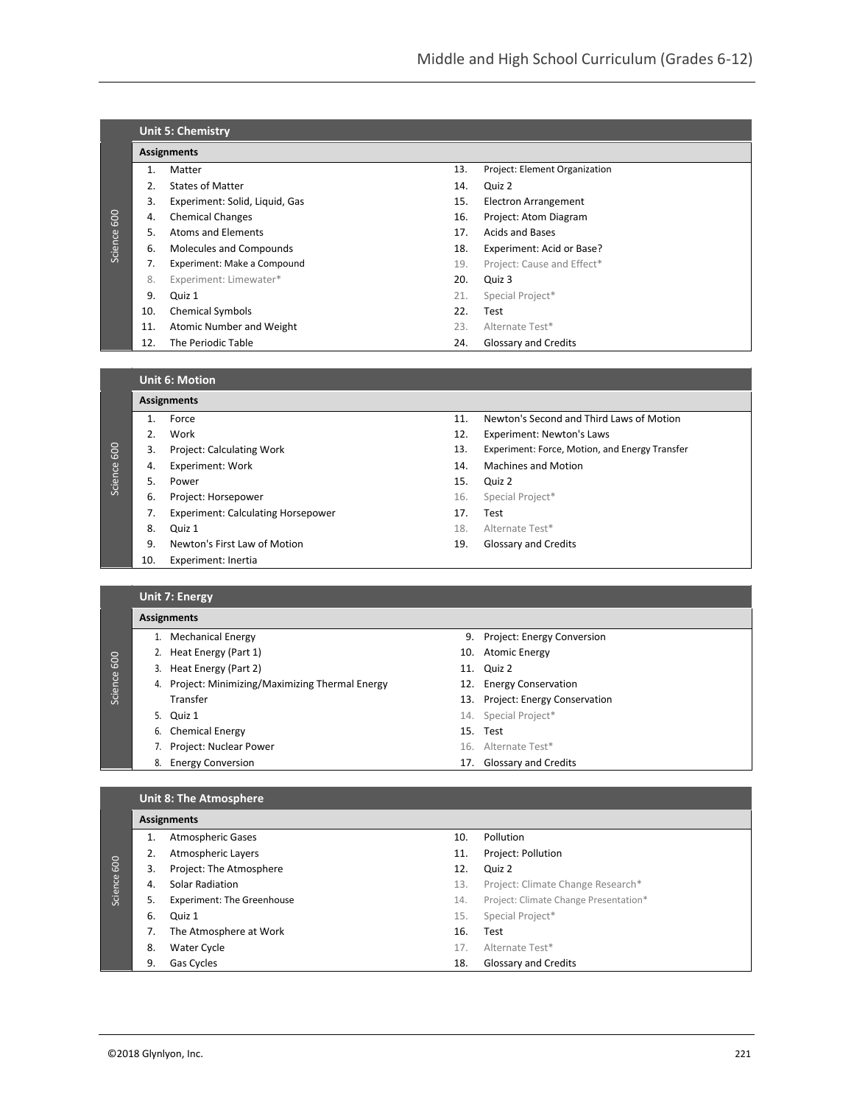|         | <b>Unit 5: Chemistry</b> |                                |     |                               |  |  |  |  |
|---------|--------------------------|--------------------------------|-----|-------------------------------|--|--|--|--|
|         |                          | <b>Assignments</b>             |     |                               |  |  |  |  |
|         | 1.                       | Matter                         | 13. | Project: Element Organization |  |  |  |  |
|         | 2.                       | <b>States of Matter</b>        | 14. | Quiz 2                        |  |  |  |  |
|         | 3.                       | Experiment: Solid, Liquid, Gas | 15. | Electron Arrangement          |  |  |  |  |
| 600     | 4.                       | <b>Chemical Changes</b>        | 16. | Project: Atom Diagram         |  |  |  |  |
|         | 5.                       | Atoms and Elements             | 17. | <b>Acids and Bases</b>        |  |  |  |  |
| Science | 6.                       | Molecules and Compounds        | 18. | Experiment: Acid or Base?     |  |  |  |  |
|         |                          | Experiment: Make a Compound    | 19. | Project: Cause and Effect*    |  |  |  |  |
|         | 8.                       | Experiment: Limewater*         | 20. | Quiz 3                        |  |  |  |  |
|         | 9.                       | Quiz 1                         | 21. | Special Project*              |  |  |  |  |
|         | 10.                      | <b>Chemical Symbols</b>        | 22. | Test                          |  |  |  |  |
|         | 11.                      | Atomic Number and Weight       | 23. | Alternate Test*               |  |  |  |  |
|         | 12.                      | The Periodic Table             | 24. | <b>Glossary and Credits</b>   |  |  |  |  |

**Unit 6: Motion**

|         |                    | Unit 6: Motion                            |     |                                                |  |  |  |
|---------|--------------------|-------------------------------------------|-----|------------------------------------------------|--|--|--|
|         | <b>Assignments</b> |                                           |     |                                                |  |  |  |
|         | 1.                 | Force                                     | 11. | Newton's Second and Third Laws of Motion       |  |  |  |
|         | 2.                 | Work                                      | 12. | Experiment: Newton's Laws                      |  |  |  |
| 600     | 3.                 | Project: Calculating Work                 | 13. | Experiment: Force, Motion, and Energy Transfer |  |  |  |
| Science | 4.                 | <b>Experiment: Work</b>                   | 14. | <b>Machines and Motion</b>                     |  |  |  |
|         | 5.                 | Power                                     | 15. | Quiz 2                                         |  |  |  |
|         | 6.                 | Project: Horsepower                       | 16. | Special Project*                               |  |  |  |
|         | 7.                 | <b>Experiment: Calculating Horsepower</b> | 17. | Test                                           |  |  |  |
|         | 8.                 | Quiz 1                                    | 18. | Alternate Test*                                |  |  |  |
|         | 9.                 | Newton's First Law of Motion              | 19. | Glossary and Credits                           |  |  |  |
|         | 10.                | Experiment: Inertia                       |     |                                                |  |  |  |
|         |                    |                                           |     |                                                |  |  |  |

## **Unit 7: Energy**

|             | <b>Assignments</b> |                                                  |  |                                  |  |  |  |
|-------------|--------------------|--------------------------------------------------|--|----------------------------------|--|--|--|
|             |                    | <b>Mechanical Energy</b>                         |  | 9. Project: Energy Conversion    |  |  |  |
|             |                    | 2. Heat Energy (Part 1)                          |  | 10. Atomic Energy                |  |  |  |
| Science 600 |                    | 3. Heat Energy (Part 2)                          |  | 11. Quiz 2                       |  |  |  |
|             |                    | 4. Project: Minimizing/Maximizing Thermal Energy |  | 12. Energy Conservation          |  |  |  |
|             |                    | Transfer                                         |  | 13. Project: Energy Conservation |  |  |  |
|             |                    | 5. Quiz 1                                        |  | 14. Special Project*             |  |  |  |
|             |                    | 6. Chemical Energy                               |  | 15. Test                         |  |  |  |
|             |                    | Project: Nuclear Power                           |  | 16. Alternate Test*              |  |  |  |
|             | 8.                 | <b>Energy Conversion</b>                         |  | 17. Glossary and Credits         |  |  |  |
|             |                    |                                                  |  |                                  |  |  |  |

## **Unit 8: The Atmosphere**

|             | <b>Assignments</b> |                                   |     |                                       |  |  |
|-------------|--------------------|-----------------------------------|-----|---------------------------------------|--|--|
|             |                    | <b>Atmospheric Gases</b>          | 10. | Pollution                             |  |  |
|             |                    | Atmospheric Layers                | 11. | Project: Pollution                    |  |  |
|             | 3.                 | Project: The Atmosphere           | 12. | Quiz 2                                |  |  |
| Science 600 | 4.                 | Solar Radiation                   | 13. | Project: Climate Change Research*     |  |  |
|             | 5.                 | <b>Experiment: The Greenhouse</b> | 14. | Project: Climate Change Presentation* |  |  |
|             | 6.                 | Quiz 1                            | 15. | Special Project*                      |  |  |
|             |                    | The Atmosphere at Work            | 16. | Test                                  |  |  |
|             | 8.                 | Water Cycle                       | 17. | Alternate Test*                       |  |  |
|             | 9.                 | Gas Cycles                        | 18. | <b>Glossary and Credits</b>           |  |  |